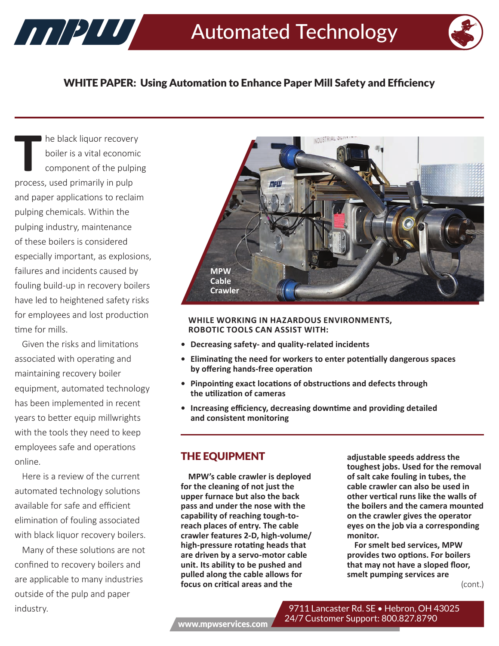

## WHITE PAPER: Using Automation to Enhance Paper Mill Safety and Efficiency

**T** he black liquor recovery boiler is a vital economic component of the pulping process, used primarily in pulp and paper applications to reclaim pulping chemicals. Within the pulping industry, maintenance of these boilers is considered especially important, as explosions, failures and incidents caused by fouling build-up in recovery boilers have led to heightened safety risks for employees and lost production time for mills.

Given the risks and limitations associated with operating and maintaining recovery boiler equipment, automated technology has been implemented in recent years to better equip millwrights with the tools they need to keep employees safe and operations online.

Here is a review of the current automated technology solutions available for safe and efficient elimination of fouling associated with black liquor recovery boilers.

Many of these solutions are not confined to recovery boilers and are applicable to many industries outside of the pulp and paper industry.



#### **WHILE WORKING IN HAZARDOUS ENVIRONMENTS, ROBOTIC TOOLS CAN ASSIST WITH:**

- **• Decreasing safety- and quality-related incidents**
- **• Eliminating the need for workers to enter potentially dangerous spaces by offering hands-free operation**
- **• Pinpointing exact locations of obstructions and defects through the utilization of cameras**
- **• Increasing efficiency, decreasing downtime and providing detailed and consistent monitoring**

### THE EQUIPMENT

**MPW's cable crawler is deployed for the cleaning of not just the upper furnace but also the back pass and under the nose with the capability of reaching tough-toreach places of entry. The cable crawler features 2-D, high-volume/ high-pressure rotating heads that are driven by a servo-motor cable unit. Its ability to be pushed and pulled along the cable allows for focus on critical areas and the** 

**adjustable speeds address the toughest jobs. Used for the removal of salt cake fouling in tubes, the cable crawler can also be used in other vertical runs like the walls of the boilers and the camera mounted on the crawler gives the operator eyes on the job via a corresponding monitor.**

**For smelt bed services, MPW provides two options. For boilers that may not have a sloped floor, smelt pumping services are** 

(cont.)